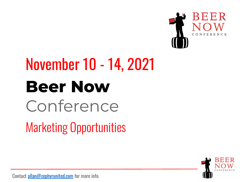

# **Beer Now** Conference Marketing Opportunities November 10 - 14, 2021

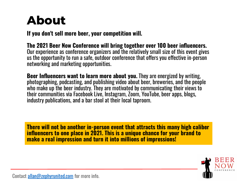### **About**

**If you don't sell more beer, your competition will.** 

**The 2021 Beer Now Conference will bring together over 100 beer influencers.**  Our experience as conference organizers and the relatively small size of this event gives us the opportunity to run a safe, outdoor conference that offers you effective in-person networking and marketing opportunities.

**Beer Influencers want to learn more about you.** They are energized by writing, photographing, podcasting, and publishing video about beer, breweries, and the people who make up the beer industry. They are motivated by communicating their views to their communities via Facebook Live, Instagram, Zoom, YouTube, beer apps, blogs, industry publications, and a bar stool at their local taproom.

**There will not be another in-person event that attracts this many high caliber influencers to one place in 2021. This is a unique chance for your brand to make a real impression and turn it into millions of impressions!** 

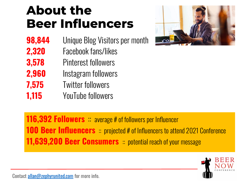### **About the Beer Influencers**

- **98,844** Unique Blog Visitors per month
- **2,320** Facebook fans/likes
- **3,578** Pinterest followers
- **2,960** Instagram followers
- **7,575** Twitter followers
- **1,115** YouTube followers



**116,392 Followers** average # of followers per Influencer **100 Beer Influencers** :: projected # of Influencers to attend 2021 Conference **11,639,200 Beer Consumers** : potential reach of your message

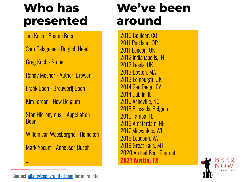### **Who has presented**

Jim Koch - Boston Beer

Sam Calagione - Dogfish Head

Greg Koch - Stone

Randy Mosher - Author, Brewer

Frank Boon - Brouwerij Boon

Kim Jordan - New Belgium

Stan Hieronymus - Appellation Beer

Willem van Waesberghe - Heineken

Mark Yocum - Anheuser-Busch

### **We've been around**

2010 Boulder, CO 2011 Portland, OR 2011 London, UK 2012 Indianapolis, IN 2012 Leeds, UK 2013 Boston, MA 2013 Edinburgh, UK 2014 San Diego, CA 2014 Dublin, IE 2015 Asheville, NC 2015 Brussels, Belgium 2016 Tampa, FL 2016 Amsterdam, NE 2017 Milwaukee, WI 2018 Loudoun, VA 2019 Great Falls, MT 2020 Virtual Beer Summit **2021 Austin, TX** 



Contact [allan@zephyrunited.com](mailto:allan@zephyrunited.com) for more info.

...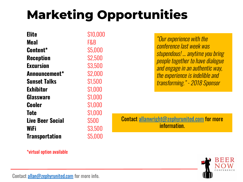# **Marketing Opportunities**

| <b>Elite</b>            | \$10,000 |
|-------------------------|----------|
| Meal                    | F&B      |
| Content*                | \$5,000  |
| <b>Reception</b>        | \$2,500  |
| <b>Excursion</b>        | \$3,500  |
| Announcement*           | \$2,000  |
| <b>Sunset Talks</b>     | \$1,500  |
| Exhibitor               | \$1,000  |
| <b>Glassware</b>        | \$1,000  |
| Cooler                  | \$1,000  |
| <b>Tote</b>             | \$1,000  |
| <b>Live Beer Social</b> | \$500    |
| <b>WiFi</b>             | \$3,500  |
| <b>Transportation</b>   | \$5,000  |

"Our experience with the conference last week was stupendous! … anytime you bring people together to have dialogue and engage in an authentic way, the experience is indelible and transforming." - 2018 Sponsor

Contact [allanwright@zephyrunited.com](mailto:allanwright@zephyrunited.com) for more information.



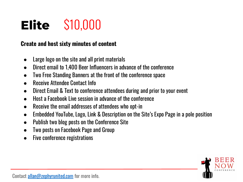# **Elite** \$10,000

#### **Create and host sixty minutes of content**

- Large logo on the site and all print materials
- Direct email to 1,400 Beer Influencers in advance of the conference
- Two Free Standing Banners at the front of the conference space
- **Receive Attendee Contact Info**
- Direct Email & Text to conference attendees during and prior to your event
- Host a Facebook Live session in advance of the conference
- Receive the email addresses of attendees who opt-in
- Embedded YouTube, Logo, Link & Description on the Site's Expo Page in a pole position
- Publish two blog posts on the Conference Site
- Two posts on Facebook Page and Group
- Five conference registrations

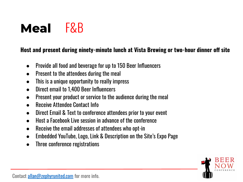### **Meal** F&B

#### **Host and present during ninety-minute lunch at Vista Brewing or two-hour dinner off site**

- Provide all food and beverage for up to 150 Beer Influencers
- Present to the attendees during the meal
- This is a unique opportunity to really impress
- Direct email to 1,400 Beer Influencers
- Present your product or service to the audience during the meal
- Receive Attendee Contact Info
- Direct Email & Text to conference attendees prior to your event
- Host a Facebook Live session in advance of the conference
- Receive the email addresses of attendees who opt-in
- Embedded YouTube, Logo, Link & Description on the Site's Expo Page
- Three conference registrations

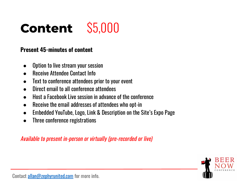# **Content** \$5,000

#### **Present 45-minutes of content**

- Option to live stream your session
- Receive Attendee Contact Info
- Text to conference attendees prior to your event
- Direct email to all conference attendees
- Host a Facebook Live session in advance of the conference
- Receive the email addresses of attendees who opt-in
- Embedded YouTube, Logo, Link & Description on the Site's Expo Page
- Three conference registrations

Available to present in-person or virtually (pre-recorded or live)

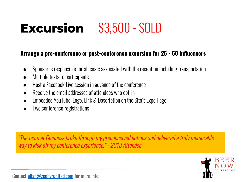# **Excursion** S3,500 - SOLD

#### **Arrange a pre-conference or post-conference excursion for 25 - 50 influencers**

- Sponsor is responsible for all costs associated with the reception including transportation
- Multiple texts to participants
- Host a Facebook Live session in advance of the conference
- Receive the email addresses of attendees who opt-in
- Embedded YouTube, Logo, Link & Description on the Site's Expo Page
- Two conference registrations

"The team at Guinness broke through my preconceived notions and delivered a truly memorable way to kick off my conference experience." - 2018 Attendee

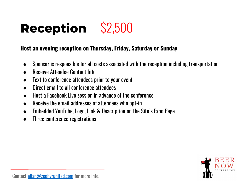# **Reception** \$2,500

#### **Host an evening reception on Thursday, Friday, Saturday or Sunday**

- Sponsor is responsible for all costs associated with the reception including transportation
- **Receive Attendee Contact Info**
- Text to conference attendees prior to your event
- Direct email to all conference attendees
- Host a Facebook Live session in advance of the conference
- Receive the email addresses of attendees who opt-in
- Embedded YouTube, Logo, Link & Description on the Site's Expo Page
- Three conference registrations

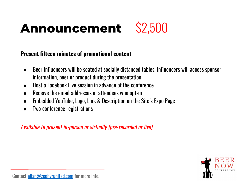### **Announcement** \$2,500



#### **Present fifteen minutes of promotional content**

- Beer Influencers will be seated at socially distanced tables. Influencers will access sponsor information, beer or product during the presentation
- Host a Facebook Live session in advance of the conference
- Receive the email addresses of attendees who opt-in
- Embedded YouTube, Logo, Link & Description on the Site's Expo Page
- Two conference registrations

Available to present in-person or virtually (pre-recorded or live)

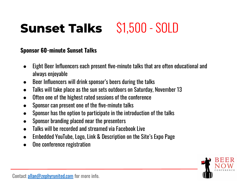### **Sunset Talks** \$1,500 - SOLD

#### **Sponsor 60-minute Sunset Talks**

- Eight Beer Influencers each present five-minute talks that are often educational and always enjoyable
- Beer Influencers will drink sponsor's beers during the talks
- Talks will take place as the sun sets outdoors on Saturday, November 13
- Often one of the highest rated sessions of the conference
- Sponsor can present one of the five-minute talks
- Sponsor has the option to participate in the introduction of the talks
- Sponsor branding placed near the presenters
- Talks will be recorded and streamed via Facebook Live
- Embedded YouTube, Logo, Link & Description on the Site's Expo Page
- One conference registration

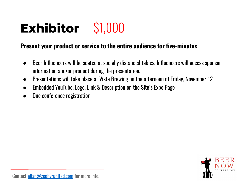# **Exhibitor** \$1,000

#### **Present your product or service to the entire audience for five-minutes**

- Beer Influencers will be seated at socially distanced tables. Influencers will access sponsor information and/or product during the presentation.
- Presentations will take place at Vista Brewing on the afternoon of Friday, November 12
- Embedded YouTube, Logo, Link & Description on the Site's Expo Page
- One conference registration

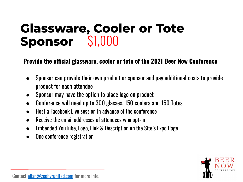### **Glassware, Cooler or Tote Sponsor** \$1,000

**Provide the official glassware, cooler or tote of the 2021 Beer Now Conference**

- Sponsor can provide their own product or sponsor and pay additional costs to provide product for each attendee
- Sponsor may have the option to place logo on product
- Conference will need up to 300 glasses, 150 coolers and 150 Totes
- Host a Facebook Live session in advance of the conference
- Receive the email addresses of attendees who opt-in
- Embedded YouTube, Logo, Link & Description on the Site's Expo Page
- One conference registration

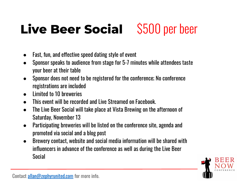## **Live Beer Social** \$500 per beer

- Fast, fun, and effective speed dating style of event
- Sponsor speaks to audience from stage for 5-7 minutes while attendees taste your beer at their table
- Sponsor does not need to be registered for the conference; No conference registrations are included
- Limited to 10 breweries
- This event will be recorded and Live Streamed on Facebook.
- The Live Beer Social will take place at Vista Brewing on the afternoon of Saturday, November 13
- Participating breweries will be listed on the conference site, agenda and promoted via social and a blog post
- Brewery contact, website and social media information will be shared with influencers in advance of the conference as well as during the Live Beer Social

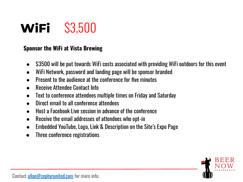### **WiFi** \$3,500

#### **Sponsor the WiFi at Vista Brewing**

- \$3500 will be put towards WiFi costs associated with providing WiFi outdoors for this event
- WiFi Network, password and landing page will be sponsor branded
- Present to the audience at the conference for five minutes
- **Receive Attendee Contact Info**
- Text to conference attendees multiple times on Friday and Saturday
- Direct email to all conference attendees
- Host a Facebook Live session in advance of the conference
- Receive the email addresses of attendees who opt-in
- Embedded YouTube, Logo, Link & Description on the Site's Expo Page
- Three conference registrations